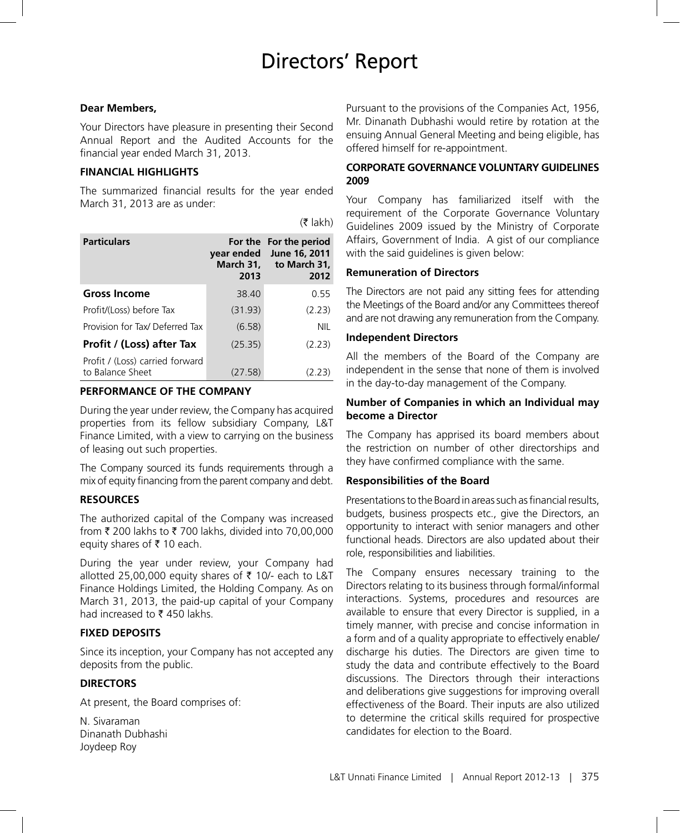# Directors' Report

 $(5$  lakh)

### **Dear Members,**

Your Directors have pleasure in presenting their Second Annual Report and the Audited Accounts for the financial year ended March 31, 2013.

### **FINANCIAL HIGHLIGHTS**

The summarized financial results for the year ended March 31, 2013 are as under:

| <b>Particulars</b>                                  | year ended<br>March 31,<br>2013 | For the For the period<br>June 16, 2011<br>to March 31,<br>2012 |
|-----------------------------------------------------|---------------------------------|-----------------------------------------------------------------|
| <b>Gross Income</b>                                 | 38.40                           | 0.55                                                            |
| Profit/(Loss) before Tax                            | (31.93)                         | (2.23)                                                          |
| Provision for Tax/ Deferred Tax                     | (6.58)                          | <b>NIL</b>                                                      |
| Profit / (Loss) after Tax                           | (25.35)                         | (2.23)                                                          |
| Profit / (Loss) carried forward<br>to Balance Sheet | (27.58)                         | (2.23)                                                          |

### **PERFORMANCE OF THE COMPANY**

During the year under review, the Company has acquired properties from its fellow subsidiary Company, L&T Finance Limited, with a view to carrying on the business of leasing out such properties.

The Company sourced its funds requirements through a mix of equity financing from the parent company and debt.

### **RESOURCES**

The authorized capital of the Company was increased from  $\bar{\tau}$  200 lakhs to  $\bar{\tau}$  700 lakhs, divided into 70,00,000 equity shares of  $\bar{\tau}$  10 each.

During the year under review, your Company had allotted 25,00,000 equity shares of ₹ 10/- each to L&T Finance Holdings Limited, the Holding Company. As on March 31, 2013, the paid-up capital of your Company had increased to  $\bar{\tau}$  450 lakhs.

### **FIXED DEPOSITS**

Since its inception, your Company has not accepted any deposits from the public.

### **DIRECTORS**

At present, the Board comprises of:

N. Sivaraman Dinanath Dubhashi Joydeep Roy

Pursuant to the provisions of the Companies Act, 1956, Mr. Dinanath Dubhashi would retire by rotation at the ensuing Annual General Meeting and being eligible, has offered himself for re-appointment.

# **CORPORATE GOVERNANCE VOLUNTARY GUIDELINES 2009**

Your Company has familiarized itself with the requirement of the Corporate Governance Voluntary Guidelines 2009 issued by the Ministry of Corporate Affairs, Government of India. A gist of our compliance with the said guidelines is given below:

# **Remuneration of Directors**

The Directors are not paid any sitting fees for attending the Meetings of the Board and/or any Committees thereof and are not drawing any remuneration from the Company.

# **Independent Directors**

All the members of the Board of the Company are independent in the sense that none of them is involved in the day-to-day management of the Company.

# **Number of Companies in which an Individual may become a Director**

The Company has apprised its board members about the restriction on number of other directorships and they have confirmed compliance with the same.

### **Responsibilities of the Board**

Presentations to the Board in areas such as financial results, budgets, business prospects etc., give the Directors, an opportunity to interact with senior managers and other functional heads. Directors are also updated about their role, responsibilities and liabilities.

The Company ensures necessary training to the Directors relating to its business through formal/informal interactions. Systems, procedures and resources are available to ensure that every Director is supplied, in a timely manner, with precise and concise information in a form and of a quality appropriate to effectively enable/ discharge his duties. The Directors are given time to study the data and contribute effectively to the Board discussions. The Directors through their interactions and deliberations give suggestions for improving overall effectiveness of the Board. Their inputs are also utilized to determine the critical skills required for prospective candidates for election to the Board.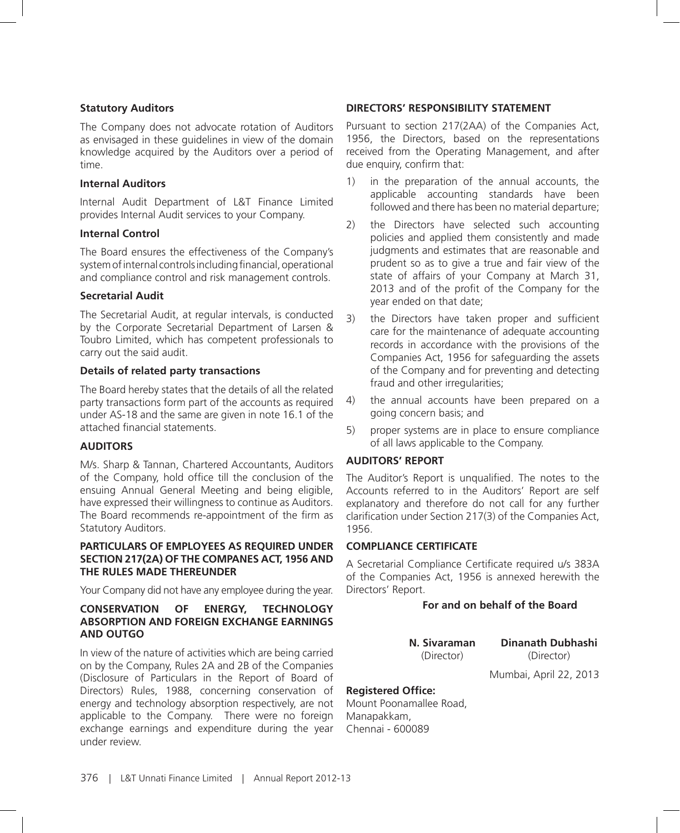### **Statutory Auditors**

The Company does not advocate rotation of Auditors as envisaged in these guidelines in view of the domain knowledge acquired by the Auditors over a period of time.

### **Internal Auditors**

Internal Audit Department of L&T Finance Limited provides Internal Audit services to your Company.

### **Internal Control**

The Board ensures the effectiveness of the Company's system of internal controls including financial, operational and compliance control and risk management controls.

### **Secretarial Audit**

The Secretarial Audit, at regular intervals, is conducted by the Corporate Secretarial Department of Larsen & Toubro Limited, which has competent professionals to carry out the said audit.

### **Details of related party transactions**

The Board hereby states that the details of all the related party transactions form part of the accounts as required under AS-18 and the same are given in note 16.1 of the attached financial statements.

### **AUDITORS**

M/s. Sharp & Tannan, Chartered Accountants, Auditors of the Company, hold office till the conclusion of the ensuing Annual General Meeting and being eligible, have expressed their willingness to continue as Auditors. The Board recommends re-appointment of the firm as Statutory Auditors.

### **PARTICULARS OF EMPLOYEES AS REQUIRED UNDER SECTION 217(2A) OF THE COMPANES ACT, 1956 AND THE RULES MADE THEREUNDER**

Your Company did not have any employee during the year.

## **CONSERVATION OF ENERGY, TECHNOLOGY ABSORPTION AND FOREIGN EXCHANGE EARNINGS AND OUTGO**

In view of the nature of activities which are being carried on by the Company, Rules 2A and 2B of the Companies (Disclosure of Particulars in the Report of Board of Directors) Rules, 1988, concerning conservation of energy and technology absorption respectively, are not applicable to the Company. There were no foreign exchange earnings and expenditure during the year under review.

### **DIRECTORS' RESPONSIBILITY STATEMENT**

Pursuant to section 217(2AA) of the Companies Act, 1956, the Directors, based on the representations received from the Operating Management, and after due enquiry, confirm that:

- 1) in the preparation of the annual accounts, the applicable accounting standards have been followed and there has been no material departure;
- 2) the Directors have selected such accounting policies and applied them consistently and made judgments and estimates that are reasonable and prudent so as to give a true and fair view of the state of affairs of your Company at March 31, 2013 and of the profit of the Company for the year ended on that date;
- 3) the Directors have taken proper and sufficient care for the maintenance of adequate accounting records in accordance with the provisions of the Companies Act, 1956 for safeguarding the assets of the Company and for preventing and detecting fraud and other irregularities;
- 4) the annual accounts have been prepared on a going concern basis; and
- 5) proper systems are in place to ensure compliance of all laws applicable to the Company.

### **AUDITORS' REPORT**

The Auditor's Report is unqualified. The notes to the Accounts referred to in the Auditors' Report are self explanatory and therefore do not call for any further clarification under Section 217(3) of the Companies Act, 1956.

### **COMPLIANCE CERTIFICATE**

A Secretarial Compliance Certificate required u/s 383A of the Companies Act, 1956 is annexed herewith the Directors' Report.

# **For and on behalf of the Board**

**N. Sivaraman Dinanath Dubhashi** (Director) (Director)

Mumbai, April 22, 2013

### **Registered Office:**

Mount Poonamallee Road, Manapakkam, Chennai - 600089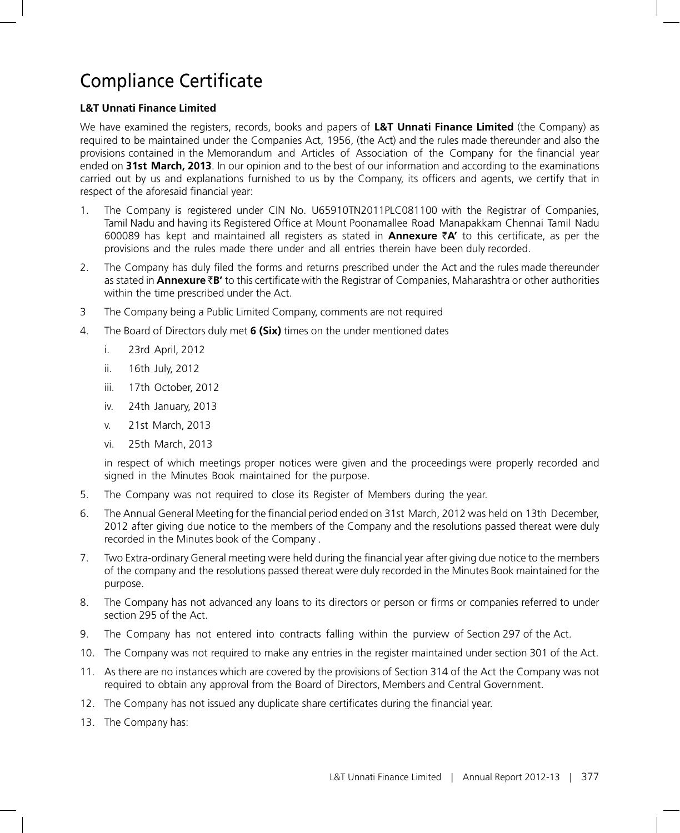# Compliance Certificate

# **L&T Unnati Finance Limited**

We have examined the registers, records, books and papers of **L&T Unnati Finance Limited** (the Company) as required to be maintained under the Companies Act, 1956, (the Act) and the rules made thereunder and also the provisions contained in the Memorandum and Articles of Association of the Company for the financial year ended on **31st March, 2013**. In our opinion and to the best of our information and according to the examinations carried out by us and explanations furnished to us by the Company, its officers and agents, we certify that in respect of the aforesaid financial year:

- 1.The Company is registered under CIN No. U65910TN2011PLC081100 with the Registrar of Companies, Tamil Nadu and having its Registered Office at Mount Poonamallee Road Manapakkam Chennai Tamil Nadu 600089 has kept and maintained all registers as stated in **Annexure** `**A'** to this certificate, as per the provisions and the rules made there under and all entries therein have been duly recorded.
- 2.The Company has duly filed the forms and returns prescribed under the Act and the rules made thereunder as stated in **Annexure** `**B'** to this certificate with the Registrar of Companies, Maharashtra or other authorities within the time prescribed under the Act.
- 3 The Company being a Public Limited Company, comments are not required
- 4. The Board of Directors duly met **6 (Six)** times on the under mentioned dates
	- i. 23rd April, 2012
	- ii. 16th July, 2012
	- iii. 17th October, 2012
	- iv. 24th January, 2013
	- v. 21st March, 2013
	- vi. 25th March, 2013

 in respect of which meetings proper notices were given and the proceedings were properly recorded and signed in the Minutes Book maintained for the purpose.

- 5. The Company was not required to close its Register of Members during the year.
- 6.The Annual General Meeting for the financial period ended on 31st March, 2012 was held on 13th December, 2012 after giving due notice to the members of the Company and the resolutions passed thereat were duly recorded in the Minutes book of the Company .
- 7.Two Extra-ordinary General meeting were held during the financial year after giving due notice to the members of the company and the resolutions passed thereat were duly recorded in the Minutes Book maintained for the purpose.
- 8.The Company has not advanced any loans to its directors or person or firms or companies referred to under section 295 of the Act.
- 9.The Company has not entered into contracts falling within the purview of Section 297 of the Act.
- 10. The Company was not required to make any entries in the register maintained under section 301 of the Act.
- 11.As there are no instances which are covered by the provisions of Section 314 of the Act the Company was not required to obtain any approval from the Board of Directors, Members and Central Government.
- 12. The Company has not issued any duplicate share certificates during the financial year.
- 13. The Company has: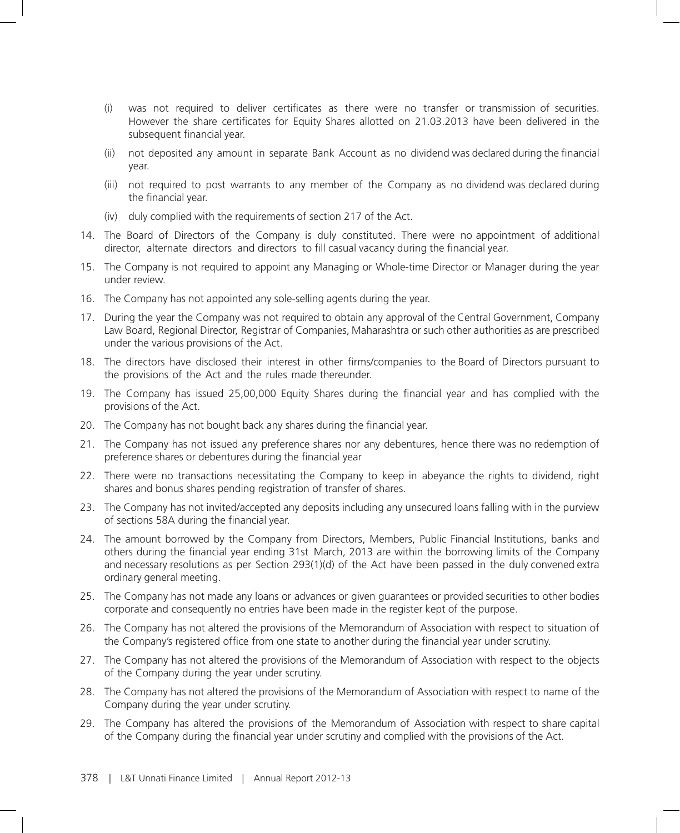- (i) was not required to deliver certificates as there were no transfer or transmission of securities. However the share certificates for Equity Shares allotted on 21.03.2013 have been delivered in the subsequent financial year.
- (ii) not deposited any amount in separate Bank Account as no dividend was declared during the financial year.
- (iii) not required to post warrants to any member of the Company as no dividend was declared during the financial year.
- (iv) duly complied with the requirements of section 217 of the Act.
- 14.The Board of Directors of the Company is duly constituted. There were no appointment of additional director, alternate directors and directors to fill casual vacancy during the financial year.
- 15.The Company is not required to appoint any Managing or Whole-time Director or Manager during the year under review.
- 16.The Company has not appointed any sole-selling agents during the year.
- 17.During the year the Company was not required to obtain any approval of the Central Government, Company Law Board, Regional Director, Registrar of Companies, Maharashtra or such other authorities as are prescribed under the various provisions of the Act.
- 18.The directors have disclosed their interest in other firms/companies to the Board of Directors pursuant to the provisions of the Act and the rules made thereunder.
- 19.The Company has issued 25,00,000 Equity Shares during the financial year and has complied with the provisions of the Act.
- 20.The Company has not bought back any shares during the financial year.
- 21.The Company has not issued any preference shares nor any debentures, hence there was no redemption of preference shares or debentures during the financial year
- 22. There were no transactions necessitating the Company to keep in abeyance the rights to dividend, right shares and bonus shares pending registration of transfer of shares.
- 23.The Company has not invited/accepted any deposits including any unsecured loans falling with in the purview of sections 58A during the financial year.
- 24.The amount borrowed by the Company from Directors, Members, Public Financial Institutions, banks and others during the financial year ending 31st March, 2013 are within the borrowing limits of the Company and necessary resolutions as per Section 293(1)(d) of the Act have been passed in the duly convened extra ordinary general meeting.
- 25.The Company has not made any loans or advances or given guarantees or provided securities to other bodies corporate and consequently no entries have been made in the register kept of the purpose.
- 26.The Company has not altered the provisions of the Memorandum of Association with respect to situation of the Company's registered office from one state to another during the financial year under scrutiny.
- 27.The Company has not altered the provisions of the Memorandum of Association with respect to the objects of the Company during the year under scrutiny.
- 28.The Company has not altered the provisions of the Memorandum of Association with respect to name of the Company during the year under scrutiny.
- 29.The Company has altered the provisions of the Memorandum of Association with respect to share capital of the Company during the financial year under scrutiny and complied with the provisions of the Act.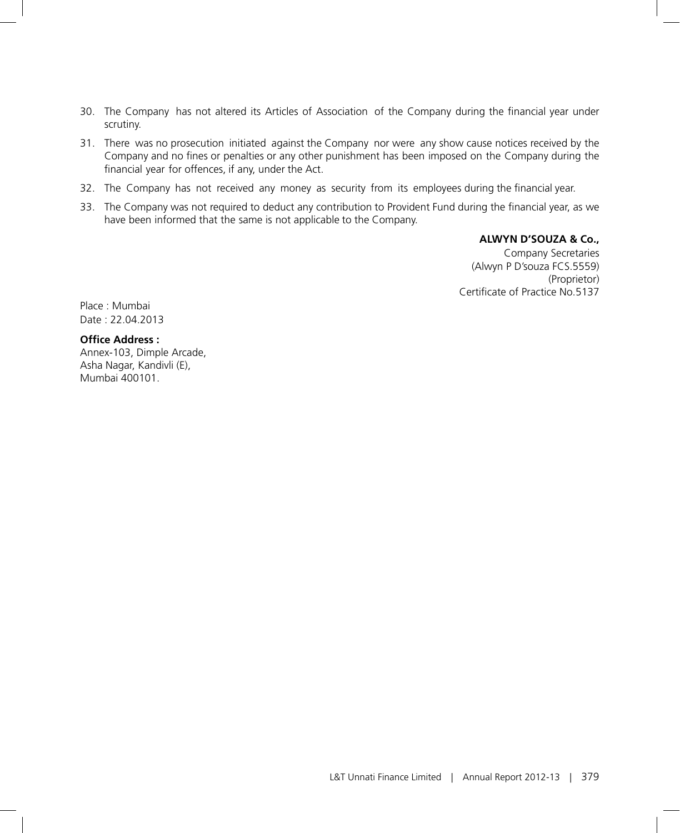- 30. The Company has not altered its Articles of Association of the Company during the financial year under scrutiny.
- 31.There was no prosecution initiated against the Company nor were any show cause notices received by the Company and no fines or penalties or any other punishment has been imposed on the Company during the financial year for offences, if any, under the Act.
- 32.The Company has not received any money as security from its employees during the financial year.
- 33.The Company was not required to deduct any contribution to Provident Fund during the financial year, as we have been informed that the same is not applicable to the Company.

**ALWYN D'SOUZA & Co.,**

Company Secretaries (Alwyn P D'souza FCS.5559) (Proprietor) Certificate of Practice No.5137

Place : Mumbai Date : 22.04.2013

# **Office Address :**

Annex-103, Dimple Arcade, Asha Nagar, Kandivli (E), Mumbai 400101.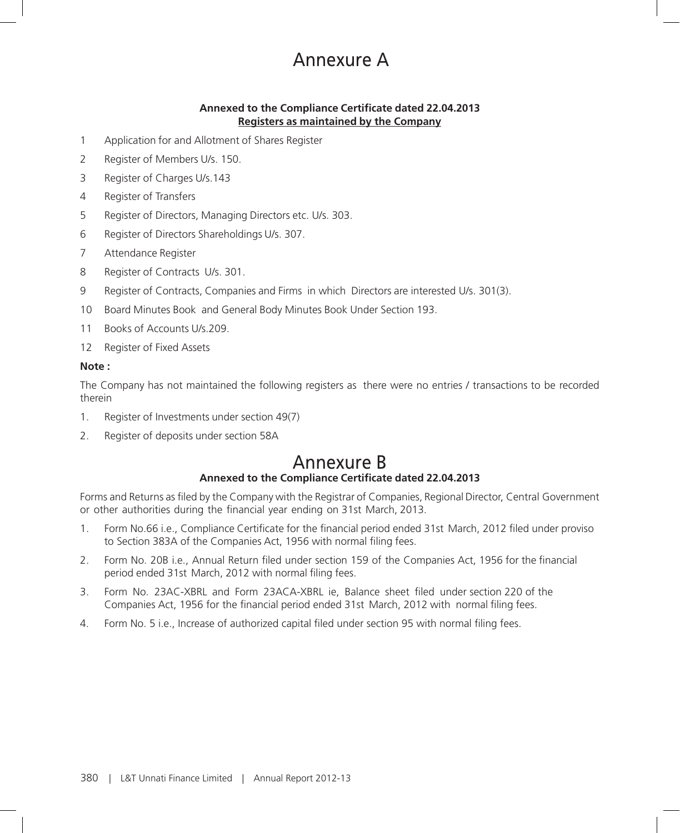# Annexure A

# **Annexed to the Compliance Certificate dated 22.04.2013 Registers as maintained by the Company**

- 1 Application for and Allotment of Shares Register
- 2 Register of Members U/s. 150.
- 3 Register of Charges U/s.143
- 4 Register of Transfers
- 5 Register of Directors, Managing Directors etc. U/s. 303.
- 6 Register of Directors Shareholdings U/s. 307.
- 7 Attendance Register
- 8 Register of Contracts U/s. 301.
- 9 Register of Contracts, Companies and Firms in which Directors are interested U/s. 301(3).
- 10 Board Minutes Book and General Body Minutes Book Under Section 193.
- 11 Books of Accounts U/s.209.
- 12 Register of Fixed Assets

### **Note :**

The Company has not maintained the following registers as there were no entries / transactions to be recorded therein

- 1. Register of Investments under section 49(7)
- 2. Register of deposits under section 58A

# Annexure B **Annexed to the Compliance Certificate dated 22.04.2013**

Forms and Returns as filed by the Company with the Registrar of Companies, Regional Director, Central Government or other authorities during the financial year ending on 31st March, 2013.

- 1. Form No.66 i.e., Compliance Certificate for the financial period ended 31st March, 2012 filed under proviso to Section 383A of the Companies Act, 1956 with normal filing fees.
- 2. Form No. 20B i.e., Annual Return filed under section 159 of the Companies Act, 1956 for the financial period ended 31st March, 2012 with normal filing fees.
- 3. Form No. 23AC-XBRL and Form 23ACA-XBRL ie, Balance sheet filed under section 220 of the Companies Act, 1956 for the financial period ended 31st March, 2012 with normal filing fees.
- 4. Form No. 5 i.e., Increase of authorized capital filed under section 95 with normal filing fees.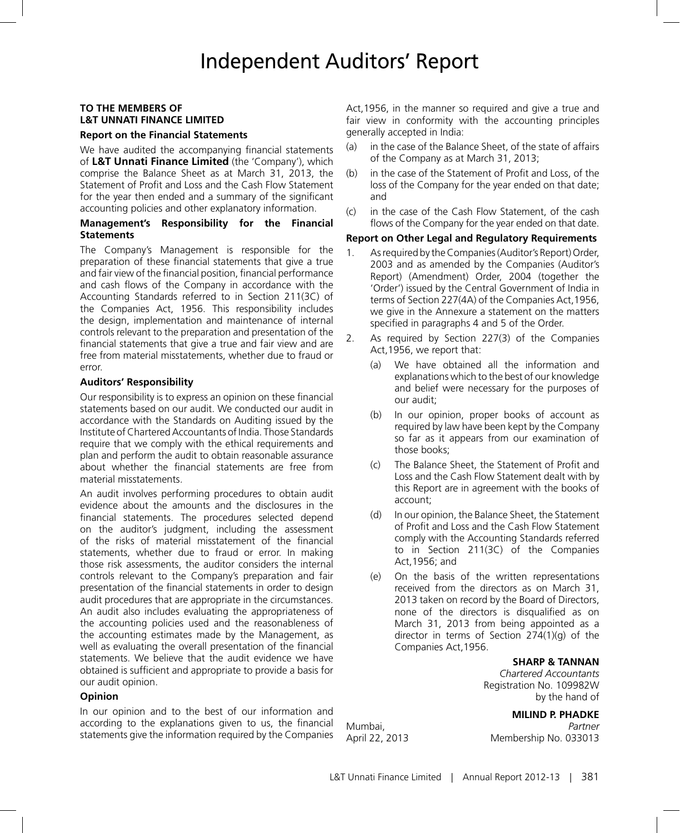# **TO THE MEMBERS OF L&T UNNATI FINANCE LIMITED**

### **Report on the Financial Statements**

We have audited the accompanying financial statements of **L&T Unnati Finance Limited** (the 'Company'), which comprise the Balance Sheet as at March 31, 2013, the Statement of Profit and Loss and the Cash Flow Statement for the year then ended and a summary of the significant accounting policies and other explanatory information.

### **Management's Responsibility for the Financial Statements**

The Company's Management is responsible for the preparation of these financial statements that give a true and fair view of the financial position, financial performance and cash flows of the Company in accordance with the Accounting Standards referred to in Section 211(3C) of the Companies Act, 1956. This responsibility includes the design, implementation and maintenance of internal controls relevant to the preparation and presentation of the financial statements that give a true and fair view and are free from material misstatements, whether due to fraud or error.

### **Auditors' Responsibility**

Our responsibility is to express an opinion on these financial statements based on our audit. We conducted our audit in accordance with the Standards on Auditing issued by the Institute of Chartered Accountants of India. Those Standards require that we comply with the ethical requirements and plan and perform the audit to obtain reasonable assurance about whether the financial statements are free from material misstatements.

An audit involves performing procedures to obtain audit evidence about the amounts and the disclosures in the financial statements. The procedures selected depend on the auditor's judgment, including the assessment of the risks of material misstatement of the financial statements, whether due to fraud or error. In making those risk assessments, the auditor considers the internal controls relevant to the Company's preparation and fair presentation of the financial statements in order to design audit procedures that are appropriate in the circumstances. An audit also includes evaluating the appropriateness of the accounting policies used and the reasonableness of the accounting estimates made by the Management, as well as evaluating the overall presentation of the financial statements. We believe that the audit evidence we have obtained is sufficient and appropriate to provide a basis for our audit opinion.

### **Opinion**

In our opinion and to the best of our information and according to the explanations given to us, the financial statements give the information required by the Companies Act,1956, in the manner so required and give a true and fair view in conformity with the accounting principles generally accepted in India:

- (a) in the case of the Balance Sheet, of the state of affairs of the Company as at March 31, 2013;
- (b) in the case of the Statement of Profit and Loss, of the loss of the Company for the year ended on that date; and
- (c) in the case of the Cash Flow Statement, of the cash flows of the Company for the year ended on that date.

#### **Report on Other Legal and Regulatory Requirements**

- 1. As required by the Companies (Auditor's Report) Order, 2003 and as amended by the Companies (Auditor's Report) (Amendment) Order, 2004 (together the 'Order') issued by the Central Government of India in terms of Section 227(4A) of the Companies Act,1956, we give in the Annexure a statement on the matters specified in paragraphs 4 and 5 of the Order.
- 2. As required by Section 227(3) of the Companies Act,1956, we report that:
	- (a) We have obtained all the information and explanations which to the best of our knowledge and belief were necessary for the purposes of our audit;
	- (b) In our opinion, proper books of account as required by law have been kept by the Company so far as it appears from our examination of those books;
	- (c) The Balance Sheet, the Statement of Profit and Loss and the Cash Flow Statement dealt with by this Report are in agreement with the books of account;
	- (d) In our opinion, the Balance Sheet, the Statement of Profit and Loss and the Cash Flow Statement comply with the Accounting Standards referred to in Section 211(3C) of the Companies Act,1956; and
	- (e) On the basis of the written representations received from the directors as on March 31, 2013 taken on record by the Board of Directors, none of the directors is disqualified as on March 31, 2013 from being appointed as a director in terms of Section 274(1)(g) of the Companies Act,1956.

# **SHARP & TANNAN**

*Chartered Accountants* Registration No. 109982W by the hand of

### **MILIND P. PHADKE**

Mumbai, *Partner* April 22, 2013 Membership No. 033013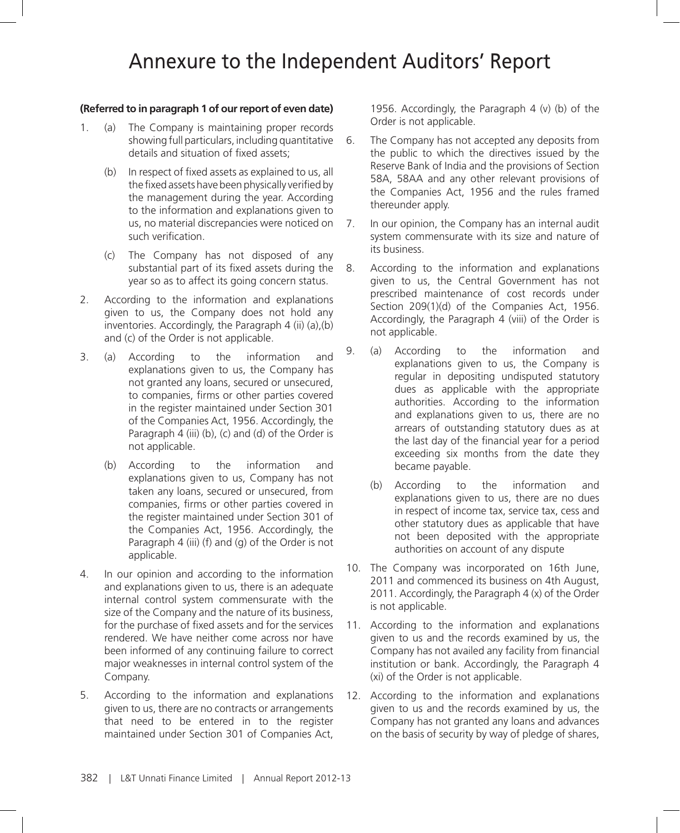# Annexure to the Independent Auditors' Report

### **(Referred to in paragraph 1 of our report of even date)**

- 1. (a) The Company is maintaining proper records showing full particulars, including quantitative details and situation of fixed assets;
	- (b) In respect of fixed assets as explained to us, all the fixed assets have been physically verified by the management during the year. According to the information and explanations given to us, no material discrepancies were noticed on such verification.
	- (c) The Company has not disposed of any substantial part of its fixed assets during the year so as to affect its going concern status.
- 2. According to the information and explanations given to us, the Company does not hold any inventories. Accordingly, the Paragraph 4 (ii) (a),(b) and (c) of the Order is not applicable.
- 3. (a) According to the information and explanations given to us, the Company has not granted any loans, secured or unsecured, to companies, firms or other parties covered in the register maintained under Section 301 of the Companies Act, 1956. Accordingly, the Paragraph 4 (iii) (b), (c) and (d) of the Order is not applicable.
	- (b) According to the information and explanations given to us, Company has not taken any loans, secured or unsecured, from companies, firms or other parties covered in the register maintained under Section 301 of the Companies Act, 1956. Accordingly, the Paragraph 4 (iii) (f) and (g) of the Order is not applicable.
- 4. In our opinion and according to the information and explanations given to us, there is an adequate internal control system commensurate with the size of the Company and the nature of its business, for the purchase of fixed assets and for the services rendered. We have neither come across nor have been informed of any continuing failure to correct major weaknesses in internal control system of the Company.
- 5. According to the information and explanations given to us, there are no contracts or arrangements that need to be entered in to the register maintained under Section 301 of Companies Act,

1956. Accordingly, the Paragraph 4 (v) (b) of the Order is not applicable.

- 6. The Company has not accepted any deposits from the public to which the directives issued by the Reserve Bank of India and the provisions of Section 58A, 58AA and any other relevant provisions of the Companies Act, 1956 and the rules framed thereunder apply.
- 7. In our opinion, the Company has an internal audit system commensurate with its size and nature of its business.
- 8. According to the information and explanations given to us, the Central Government has not prescribed maintenance of cost records under Section 209(1)(d) of the Companies Act, 1956. Accordingly, the Paragraph 4 (viii) of the Order is not applicable.
- 9. (a) According to the information and explanations given to us, the Company is regular in depositing undisputed statutory dues as applicable with the appropriate authorities. According to the information and explanations given to us, there are no arrears of outstanding statutory dues as at the last day of the financial year for a period exceeding six months from the date they became payable.
	- (b) According to the information and explanations given to us, there are no dues in respect of income tax, service tax, cess and other statutory dues as applicable that have not been deposited with the appropriate authorities on account of any dispute
- 10. The Company was incorporated on 16th June, 2011 and commenced its business on 4th August, 2011. Accordingly, the Paragraph 4 (x) of the Order is not applicable.
- 11. According to the information and explanations given to us and the records examined by us, the Company has not availed any facility from financial institution or bank. Accordingly, the Paragraph 4 (xi) of the Order is not applicable.
- 12. According to the information and explanations given to us and the records examined by us, the Company has not granted any loans and advances on the basis of security by way of pledge of shares,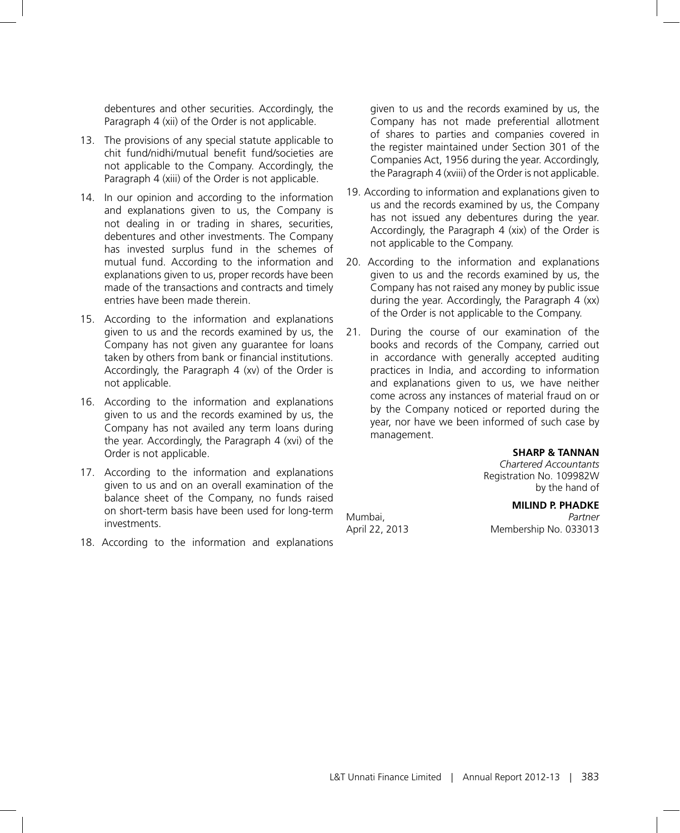debentures and other securities. Accordingly, the Paragraph 4 (xii) of the Order is not applicable.

- 13. The provisions of any special statute applicable to chit fund/nidhi/mutual benefit fund/societies are not applicable to the Company. Accordingly, the Paragraph 4 (xiii) of the Order is not applicable.
- 14. In our opinion and according to the information and explanations given to us, the Company is not dealing in or trading in shares, securities, debentures and other investments. The Company has invested surplus fund in the schemes of mutual fund. According to the information and explanations given to us, proper records have been made of the transactions and contracts and timely entries have been made therein.
- 15. According to the information and explanations given to us and the records examined by us, the Company has not given any guarantee for loans taken by others from bank or financial institutions. Accordingly, the Paragraph 4 (xv) of the Order is not applicable.
- 16. According to the information and explanations given to us and the records examined by us, the Company has not availed any term loans during the year. Accordingly, the Paragraph 4 (xvi) of the Order is not applicable.
- 17. According to the information and explanations given to us and on an overall examination of the balance sheet of the Company, no funds raised on short-term basis have been used for long-term investments.
- 18. According to the information and explanations

given to us and the records examined by us, the Company has not made preferential allotment of shares to parties and companies covered in the register maintained under Section 301 of the Companies Act, 1956 during the year. Accordingly, the Paragraph 4 (xviii) of the Order is not applicable.

- 19. According to information and explanations given to us and the records examined by us, the Company has not issued any debentures during the year. Accordingly, the Paragraph 4 (xix) of the Order is not applicable to the Company.
- 20. According to the information and explanations given to us and the records examined by us, the Company has not raised any money by public issue during the year. Accordingly, the Paragraph 4 (xx) of the Order is not applicable to the Company.
- 21. During the course of our examination of the books and records of the Company, carried out in accordance with generally accepted auditing practices in India, and according to information and explanations given to us, we have neither come across any instances of material fraud on or by the Company noticed or reported during the year, nor have we been informed of such case by management.

### **SHARP & TANNAN**

*Chartered Accountants* Registration No. 109982W by the hand of

# **MILIND P. PHADKE**

Mumbai, *Partner* April 22, 2013 Membership No. 033013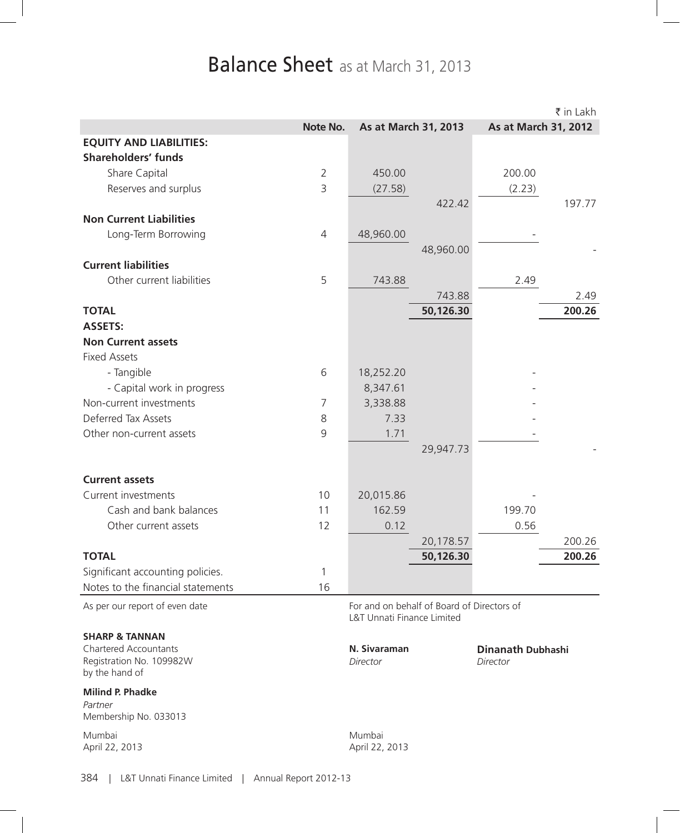# Balance Sheet as at March 31, 2013

|                                   |                |                                            |           |                          | ₹ in Lakh |
|-----------------------------------|----------------|--------------------------------------------|-----------|--------------------------|-----------|
|                                   | Note No.       | As at March 31, 2013                       |           | As at March 31, 2012     |           |
| <b>EQUITY AND LIABILITIES:</b>    |                |                                            |           |                          |           |
| <b>Shareholders' funds</b>        |                |                                            |           |                          |           |
| Share Capital                     | $\overline{2}$ | 450.00                                     |           | 200.00                   |           |
| Reserves and surplus              | 3              | (27.58)                                    |           | (2.23)                   |           |
|                                   |                |                                            | 422.42    |                          | 197.77    |
| <b>Non Current Liabilities</b>    |                |                                            |           |                          |           |
| Long-Term Borrowing               | 4              | 48,960.00                                  |           |                          |           |
|                                   |                |                                            | 48,960.00 |                          |           |
| <b>Current liabilities</b>        |                |                                            |           |                          |           |
| Other current liabilities         | 5              | 743.88                                     |           | 2.49                     |           |
|                                   |                |                                            | 743.88    |                          | 2.49      |
| <b>TOTAL</b>                      |                |                                            | 50,126.30 |                          | 200.26    |
| <b>ASSETS:</b>                    |                |                                            |           |                          |           |
| <b>Non Current assets</b>         |                |                                            |           |                          |           |
| <b>Fixed Assets</b>               |                |                                            |           |                          |           |
| - Tangible                        | 6              | 18,252.20                                  |           |                          |           |
| - Capital work in progress        |                | 8,347.61                                   |           |                          |           |
| Non-current investments           | 7              | 3,338.88                                   |           |                          |           |
| Deferred Tax Assets               | 8              | 7.33                                       |           |                          |           |
| Other non-current assets          | $\overline{9}$ | 1.71                                       |           |                          |           |
|                                   |                |                                            | 29,947.73 |                          |           |
|                                   |                |                                            |           |                          |           |
| <b>Current assets</b>             |                |                                            |           |                          |           |
| Current investments               | 10             | 20,015.86                                  |           |                          |           |
| Cash and bank balances            | 11             | 162.59                                     |           | 199.70                   |           |
| Other current assets              | 12             | 0.12                                       |           | 0.56                     |           |
|                                   |                |                                            | 20,178.57 |                          | 200.26    |
| <b>TOTAL</b>                      |                |                                            | 50,126.30 |                          | 200.26    |
| Significant accounting policies.  | 1              |                                            |           |                          |           |
| Notes to the financial statements | 16             |                                            |           |                          |           |
| As per our report of even date    |                | For and on behalf of Board of Directors of |           |                          |           |
|                                   |                | L&T Unnati Finance Limited                 |           |                          |           |
| <b>SHARP &amp; TANNAN</b>         |                |                                            |           |                          |           |
| <b>Chartered Accountants</b>      |                | N. Sivaraman                               |           | <b>Dinanath Dubhashi</b> |           |
| Registration No. 109982W          |                | Director                                   |           | Director                 |           |
| by the hand of                    |                |                                            |           |                          |           |
| <b>Milind P. Phadke</b>           |                |                                            |           |                          |           |
| Partner<br>Membership No. 033013  |                |                                            |           |                          |           |
|                                   |                |                                            |           |                          |           |
| Mumbai<br>April 22, 2013          |                | Mumbai<br>April 22, 2013                   |           |                          |           |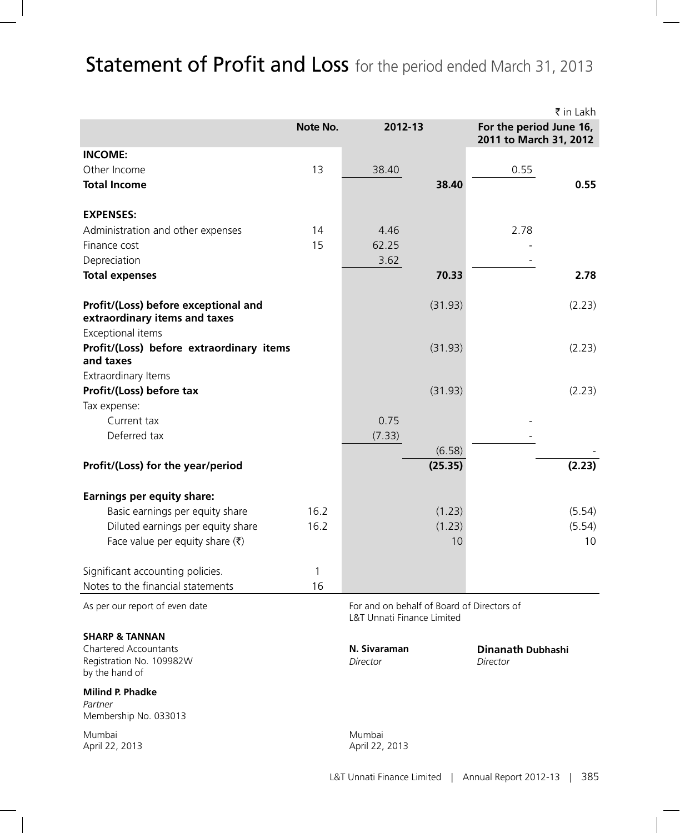# Statement of Profit and Loss for the period ended March 31, 2013

|                                                                            |          |                                                                                     |         |                                                   | ₹ in Lakh |
|----------------------------------------------------------------------------|----------|-------------------------------------------------------------------------------------|---------|---------------------------------------------------|-----------|
|                                                                            | Note No. | 2012-13                                                                             |         | For the period June 16,<br>2011 to March 31, 2012 |           |
| <b>INCOME:</b>                                                             |          |                                                                                     |         |                                                   |           |
| Other Income                                                               | 13       | 38.40                                                                               |         | 0.55                                              |           |
| <b>Total Income</b>                                                        |          |                                                                                     | 38.40   |                                                   | 0.55      |
| <b>EXPENSES:</b>                                                           |          |                                                                                     |         |                                                   |           |
| Administration and other expenses                                          | 14       | 4.46                                                                                |         | 2.78                                              |           |
| Finance cost                                                               | 15       | 62.25                                                                               |         |                                                   |           |
| Depreciation                                                               |          | 3.62                                                                                |         |                                                   |           |
| <b>Total expenses</b>                                                      |          |                                                                                     | 70.33   |                                                   | 2.78      |
| Profit/(Loss) before exceptional and<br>extraordinary items and taxes      |          |                                                                                     | (31.93) |                                                   | (2.23)    |
| Exceptional items                                                          |          |                                                                                     |         |                                                   |           |
| Profit/(Loss) before extraordinary items<br>and taxes                      |          |                                                                                     | (31.93) |                                                   | (2.23)    |
| Extraordinary Items                                                        |          |                                                                                     |         |                                                   |           |
| Profit/(Loss) before tax                                                   |          |                                                                                     | (31.93) |                                                   | (2.23)    |
| Tax expense:                                                               |          |                                                                                     |         |                                                   |           |
| Current tax                                                                |          | 0.75                                                                                |         |                                                   |           |
| Deferred tax                                                               |          | (7.33)                                                                              | (6.58)  |                                                   |           |
| Profit/(Loss) for the year/period                                          |          |                                                                                     | (25.35) |                                                   | (2.23)    |
| <b>Earnings per equity share:</b>                                          |          |                                                                                     |         |                                                   |           |
| Basic earnings per equity share                                            | 16.2     |                                                                                     | (1.23)  |                                                   | (5.54)    |
| Diluted earnings per equity share                                          | 16.2     |                                                                                     | (1.23)  |                                                   | (5.54)    |
| Face value per equity share $(\bar{\tau})$                                 |          |                                                                                     | 10      |                                                   | 10        |
| Significant accounting policies.                                           | 1        |                                                                                     |         |                                                   |           |
| Notes to the financial statements                                          | 16       |                                                                                     |         |                                                   |           |
| As per our report of even date                                             |          | For and on behalf of Board of Directors of<br><b>L&amp;T Unnati Finance Limited</b> |         |                                                   |           |
| <b>SHARP &amp; TANNAN</b>                                                  |          |                                                                                     |         |                                                   |           |
| <b>Chartered Accountants</b><br>Registration No. 109982W<br>by the hand of |          | N. Sivaraman<br>Director                                                            |         | <b>Dinanath Dubhashi</b><br>Director              |           |
| <b>Milind P. Phadke</b><br>Partner<br>Membership No. 033013                |          |                                                                                     |         |                                                   |           |
| Mumbai<br>April 22, 2013                                                   |          | Mumbai<br>April 22, 2013                                                            |         |                                                   |           |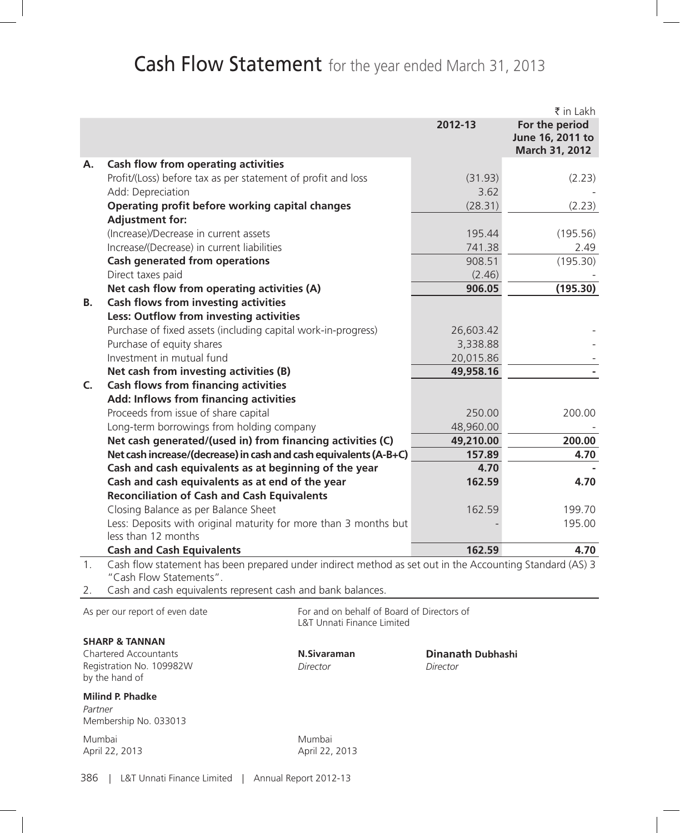# Cash Flow Statement for the year ended March 31, 2013

|    |                                                                                                                                     |           | ₹ in Lakh                                            |
|----|-------------------------------------------------------------------------------------------------------------------------------------|-----------|------------------------------------------------------|
|    |                                                                                                                                     | 2012-13   | For the period<br>June 16, 2011 to<br>March 31, 2012 |
| A. | Cash flow from operating activities                                                                                                 |           |                                                      |
|    | Profit/(Loss) before tax as per statement of profit and loss                                                                        | (31.93)   | (2.23)                                               |
|    | Add: Depreciation                                                                                                                   | 3.62      |                                                      |
|    | Operating profit before working capital changes                                                                                     | (28.31)   | (2.23)                                               |
|    | <b>Adjustment for:</b>                                                                                                              |           |                                                      |
|    | (Increase)/Decrease in current assets                                                                                               | 195.44    | (195.56)                                             |
|    | Increase/(Decrease) in current liabilities                                                                                          | 741.38    | 2.49                                                 |
|    | <b>Cash generated from operations</b>                                                                                               | 908.51    | (195.30)                                             |
|    | Direct taxes paid                                                                                                                   | (2.46)    |                                                      |
|    | Net cash flow from operating activities (A)                                                                                         | 906.05    | (195.30)                                             |
| В. | Cash flows from investing activities                                                                                                |           |                                                      |
|    | Less: Outflow from investing activities                                                                                             |           |                                                      |
|    | Purchase of fixed assets (including capital work-in-progress)                                                                       | 26,603.42 |                                                      |
|    | Purchase of equity shares                                                                                                           | 3,338.88  |                                                      |
|    | Investment in mutual fund                                                                                                           | 20,015.86 |                                                      |
|    | Net cash from investing activities (B)                                                                                              | 49,958.16 |                                                      |
| C. | <b>Cash flows from financing activities</b>                                                                                         |           |                                                      |
|    | Add: Inflows from financing activities                                                                                              |           |                                                      |
|    | Proceeds from issue of share capital                                                                                                | 250.00    | 200.00                                               |
|    | Long-term borrowings from holding company                                                                                           | 48,960.00 |                                                      |
|    | Net cash generated/(used in) from financing activities (C)                                                                          | 49,210.00 | 200.00                                               |
|    | Net cash increase/(decrease) in cash and cash equivalents (A-B+C)                                                                   | 157.89    | 4.70                                                 |
|    | Cash and cash equivalents as at beginning of the year                                                                               | 4.70      |                                                      |
|    | Cash and cash equivalents as at end of the year                                                                                     | 162.59    | 4.70                                                 |
|    | <b>Reconciliation of Cash and Cash Equivalents</b>                                                                                  |           |                                                      |
|    | Closing Balance as per Balance Sheet                                                                                                | 162.59    | 199.70                                               |
|    | Less: Deposits with original maturity for more than 3 months but<br>less than 12 months                                             |           | 195.00                                               |
|    | <b>Cash and Cash Equivalents</b>                                                                                                    | 162.59    | 4.70                                                 |
| 1. | Cash flow statement has been prepared under indirect method as set out in the Accounting Standard (AS) 3<br>"Cash Flow Statements". |           |                                                      |
| 2. | Cash and cash equivalents represent cash and bank balances.                                                                         |           |                                                      |
|    | As per our report of even date<br>For and on behalf of Board of Directors of                                                        |           |                                                      |

**SHARP & TANNAN**

**Chartered Accountants N.Sivaraman Dinanath Dubhashi**<br> **Registration No. 109982W** *Director Director Director* Registration No. 109982W *Director Director* by the hand of

# **Milind P. Phadke**

*Partner* Membership No. 033013

Mumbai Mumbai

April 22, 2013

L&T Unnati Finance Limited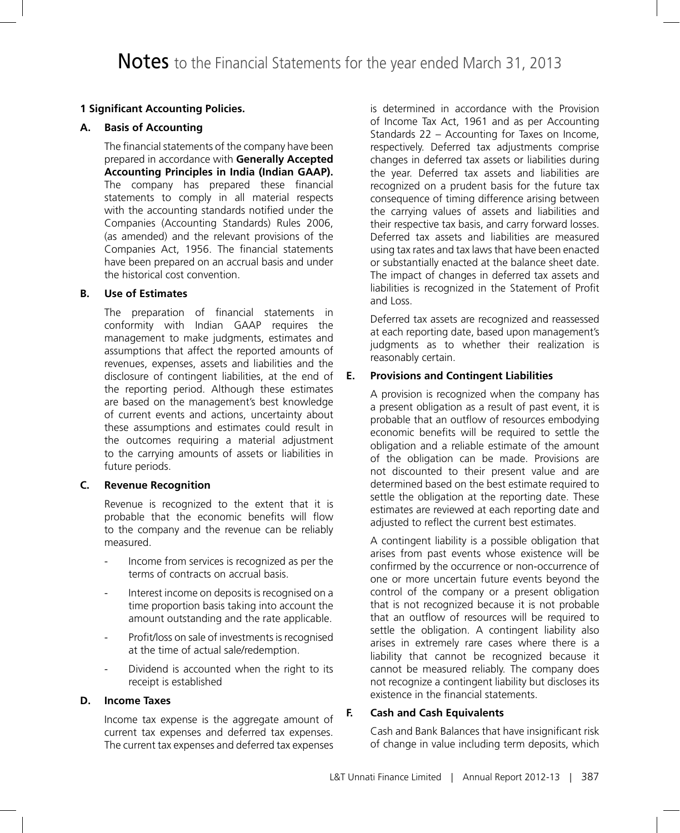# **1 Significant Accounting Policies.**

# **A. Basis of Accounting**

The financial statements of the company have been prepared in accordance with **Generally Accepted Accounting Principles in India (Indian GAAP).** The company has prepared these financial statements to comply in all material respects with the accounting standards notified under the Companies (Accounting Standards) Rules 2006, (as amended) and the relevant provisions of the Companies Act, 1956. The financial statements have been prepared on an accrual basis and under the historical cost convention.

# **B. Use of Estimates**

The preparation of financial statements in conformity with Indian GAAP requires the management to make judgments, estimates and assumptions that affect the reported amounts of revenues, expenses, assets and liabilities and the disclosure of contingent liabilities, at the end of the reporting period. Although these estimates are based on the management's best knowledge of current events and actions, uncertainty about these assumptions and estimates could result in the outcomes requiring a material adjustment to the carrying amounts of assets or liabilities in future periods.

# **C. Revenue Recognition**

Revenue is recognized to the extent that it is probable that the economic benefits will flow to the company and the revenue can be reliably measured.

- Income from services is recognized as per the terms of contracts on accrual basis.
- Interest income on deposits is recognised on a time proportion basis taking into account the amount outstanding and the rate applicable.
- Profit/loss on sale of investments is recognised at the time of actual sale/redemption.
- Dividend is accounted when the right to its receipt is established

## **D. Income Taxes**

Income tax expense is the aggregate amount of current tax expenses and deferred tax expenses. The current tax expenses and deferred tax expenses is determined in accordance with the Provision of Income Tax Act, 1961 and as per Accounting Standards 22 – Accounting for Taxes on Income, respectively. Deferred tax adjustments comprise changes in deferred tax assets or liabilities during the year. Deferred tax assets and liabilities are recognized on a prudent basis for the future tax consequence of timing difference arising between the carrying values of assets and liabilities and their respective tax basis, and carry forward losses. Deferred tax assets and liabilities are measured using tax rates and tax laws that have been enacted or substantially enacted at the balance sheet date. The impact of changes in deferred tax assets and liabilities is recognized in the Statement of Profit and Loss.

Deferred tax assets are recognized and reassessed at each reporting date, based upon management's judgments as to whether their realization is reasonably certain.

# **E. Provisions and Contingent Liabilities**

A provision is recognized when the company has a present obligation as a result of past event, it is probable that an outflow of resources embodying economic benefits will be required to settle the obligation and a reliable estimate of the amount of the obligation can be made. Provisions are not discounted to their present value and are determined based on the best estimate required to settle the obligation at the reporting date. These estimates are reviewed at each reporting date and adjusted to reflect the current best estimates.

A contingent liability is a possible obligation that arises from past events whose existence will be confirmed by the occurrence or non-occurrence of one or more uncertain future events beyond the control of the company or a present obligation that is not recognized because it is not probable that an outflow of resources will be required to settle the obligation. A contingent liability also arises in extremely rare cases where there is a liability that cannot be recognized because it cannot be measured reliably. The company does not recognize a contingent liability but discloses its existence in the financial statements.

# **F. Cash and Cash Equivalents**

Cash and Bank Balances that have insignificant risk of change in value including term deposits, which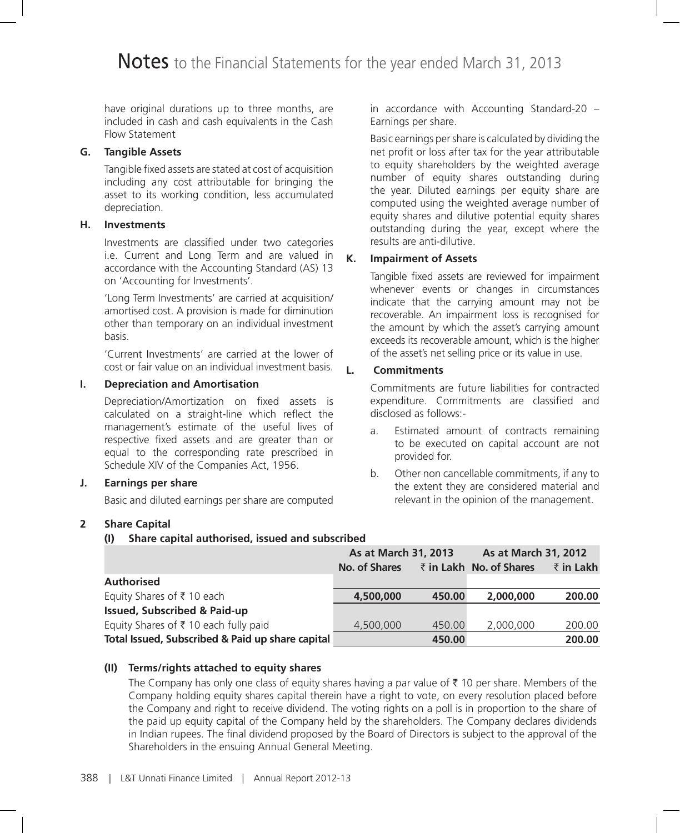have original durations up to three months, are included in cash and cash equivalents in the Cash Flow Statement

# **G. Tangible Assets**

Tangible fixed assets are stated at cost of acquisition including any cost attributable for bringing the asset to its working condition, less accumulated depreciation.

# **H. Investments**

Investments are classified under two categories i.e. Current and Long Term and are valued in accordance with the Accounting Standard (AS) 13 on 'Accounting for Investments'.

'Long Term Investments' are carried at acquisition/ amortised cost. A provision is made for diminution other than temporary on an individual investment basis.

'Current Investments' are carried at the lower of cost or fair value on an individual investment basis.

# **I. Depreciation and Amortisation**

Depreciation/Amortization on fixed assets is calculated on a straight-line which reflect the management's estimate of the useful lives of respective fixed assets and are greater than or equal to the corresponding rate prescribed in Schedule XIV of the Companies Act, 1956.

# **J. Earnings per share**

Basic and diluted earnings per share are computed

# **2 Share Capital**

### **(I) Share capital authorised, issued and subscribed**

 **As at March 31, 2013 As at March 31, 2012 No. of Shares** ` **in Lakh No. of Shares** ` **in Lakh Authorised**  Equity Shares of ` 10 each **4,500,000 450.00 2,000,000 200.00 Issued, Subscribed & Paid-up**  Equity Shares of  $\bar{\tau}$  10 each fully paid  $4,500,000$   $450.00$   $2,000,000$   $200.00$ **Total Issued, Subscribed & Paid up share capital 450.00 450.00 200.00** 200.00

# **(II) Terms/rights attached to equity shares**

The Company has only one class of equity shares having a par value of  $\bar{\tau}$  10 per share. Members of the Company holding equity shares capital therein have a right to vote, on every resolution placed before the Company and right to receive dividend. The voting rights on a poll is in proportion to the share of the paid up equity capital of the Company held by the shareholders. The Company declares dividends in Indian rupees. The final dividend proposed by the Board of Directors is subject to the approval of the Shareholders in the ensuing Annual General Meeting.

in accordance with Accounting Standard-20 – Earnings per share.

Basic earnings per share is calculated by dividing the net profit or loss after tax for the year attributable to equity shareholders by the weighted average number of equity shares outstanding during the year. Diluted earnings per equity share are computed using the weighted average number of equity shares and dilutive potential equity shares outstanding during the year, except where the results are anti-dilutive.

# **K. Impairment of Assets**

Tangible fixed assets are reviewed for impairment whenever events or changes in circumstances indicate that the carrying amount may not be recoverable. An impairment loss is recognised for the amount by which the asset's carrying amount exceeds its recoverable amount, which is the higher of the asset's net selling price or its value in use.

# **L. Commitments**

Commitments are future liabilities for contracted expenditure. Commitments are classified and disclosed as follows:-

- a. Estimated amount of contracts remaining to be executed on capital account are not provided for.
- b. Other non cancellable commitments, if any to the extent they are considered material and relevant in the opinion of the management.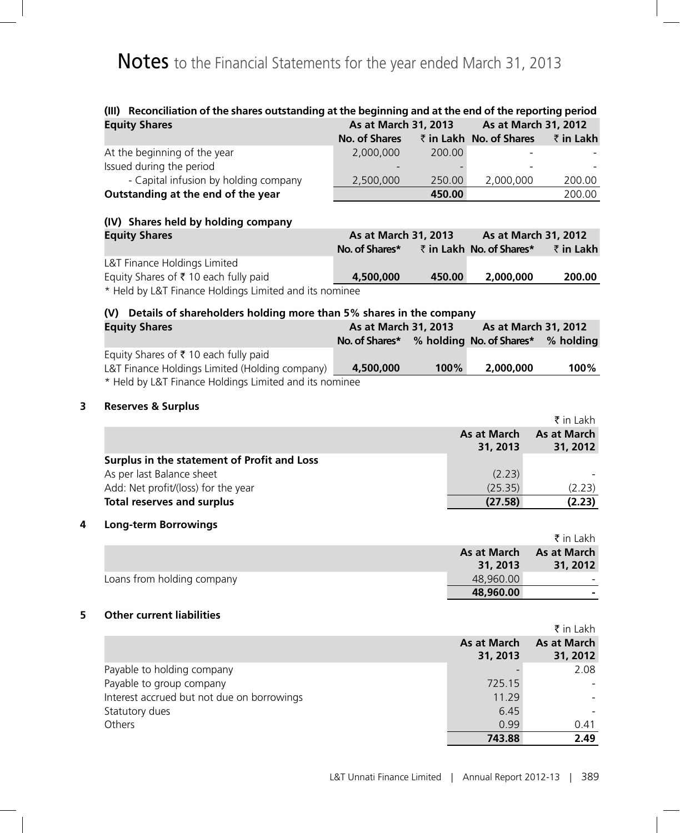| (III) Reconciliation of the shares outstanding at the beginning and at the end of the reporting period<br><b>Equity Shares</b> | As at March 31, 2013                              |        |                          | As at March 31, 2012           |
|--------------------------------------------------------------------------------------------------------------------------------|---------------------------------------------------|--------|--------------------------|--------------------------------|
|                                                                                                                                | <b>No. of Shares</b>                              |        | ₹ in Lakh No. of Shares  | ₹ in Lakh                      |
| At the beginning of the year                                                                                                   | 2,000,000                                         | 200.00 |                          |                                |
| Issued during the period                                                                                                       |                                                   |        |                          |                                |
| - Capital infusion by holding company                                                                                          | 2,500,000                                         | 250.00 | 2,000,000                | 200.00                         |
| Outstanding at the end of the year                                                                                             |                                                   | 450.00 |                          | 200.00                         |
| (IV) Shares held by holding company                                                                                            |                                                   |        |                          |                                |
| <b>Equity Shares</b>                                                                                                           | As at March 31, 2013                              |        |                          | As at March 31, 2012           |
|                                                                                                                                | No. of Shares*                                    |        | ₹ in Lakh No. of Shares* | ₹ in Lakh                      |
| L&T Finance Holdings Limited                                                                                                   |                                                   |        |                          |                                |
| Equity Shares of ₹ 10 each fully paid<br>* Held by L&T Finance Holdings Limited and its nominee                                | 4,500,000                                         | 450.00 | 2,000,000                | 200.00                         |
| (V) Details of shareholders holding more than 5% shares in the company                                                         |                                                   |        |                          |                                |
| <b>Equity Shares</b>                                                                                                           | As at March 31, 2013                              |        |                          | As at March 31, 2012           |
|                                                                                                                                | No. of Shares* % holding No. of Shares* % holding |        |                          |                                |
| Equity Shares of ₹ 10 each fully paid                                                                                          |                                                   |        |                          |                                |
| L&T Finance Holdings Limited (Holding company)                                                                                 | 4,500,000                                         | 100%   | 2,000,000                | 100%                           |
| * Held by L&T Finance Holdings Limited and its nominee                                                                         |                                                   |        |                          |                                |
| <b>Reserves &amp; Surplus</b>                                                                                                  |                                                   |        |                          |                                |
|                                                                                                                                |                                                   |        |                          | $\bar{\tau}$ in Lakh           |
|                                                                                                                                |                                                   |        | As at March<br>31, 2013  | <b>As at March</b><br>31, 2012 |
| Surplus in the statement of Profit and Loss                                                                                    |                                                   |        |                          |                                |
| As per last Balance sheet                                                                                                      |                                                   |        | (2.23)                   |                                |
| Add: Net profit/(loss) for the year                                                                                            |                                                   |        | (25.35)                  | (2.23)                         |
| <b>Total reserves and surplus</b>                                                                                              |                                                   |        | (27.58)                  | (2.23)                         |
| <b>Long-term Borrowings</b>                                                                                                    |                                                   |        |                          |                                |
|                                                                                                                                |                                                   |        |                          | $\bar{\tau}$ in Lakh           |
|                                                                                                                                |                                                   |        | <b>As at March</b>       | <b>As at March</b>             |
| Loans from holding company                                                                                                     |                                                   |        | 31, 2013<br>48,960.00    | 31, 2012                       |
|                                                                                                                                |                                                   |        | 48,960.00                |                                |
| <b>Other current liabilities</b>                                                                                               |                                                   |        |                          |                                |
|                                                                                                                                |                                                   |        |                          | ₹ in Lakh                      |
|                                                                                                                                |                                                   |        | <b>As at March</b>       | <b>As at March</b>             |
|                                                                                                                                |                                                   |        | 31, 2013                 | 31, 2012                       |
| Payable to holding company                                                                                                     |                                                   |        |                          | 2.08                           |
| Payable to group company                                                                                                       |                                                   |        | 725.15                   |                                |
| Interest accrued but not due on borrowings                                                                                     |                                                   |        | 11.29                    |                                |
| Statutory dues                                                                                                                 |                                                   |        | 6.45                     |                                |
| Others                                                                                                                         |                                                   |        | 0.99                     | 0.41                           |

 **743.88 2.49**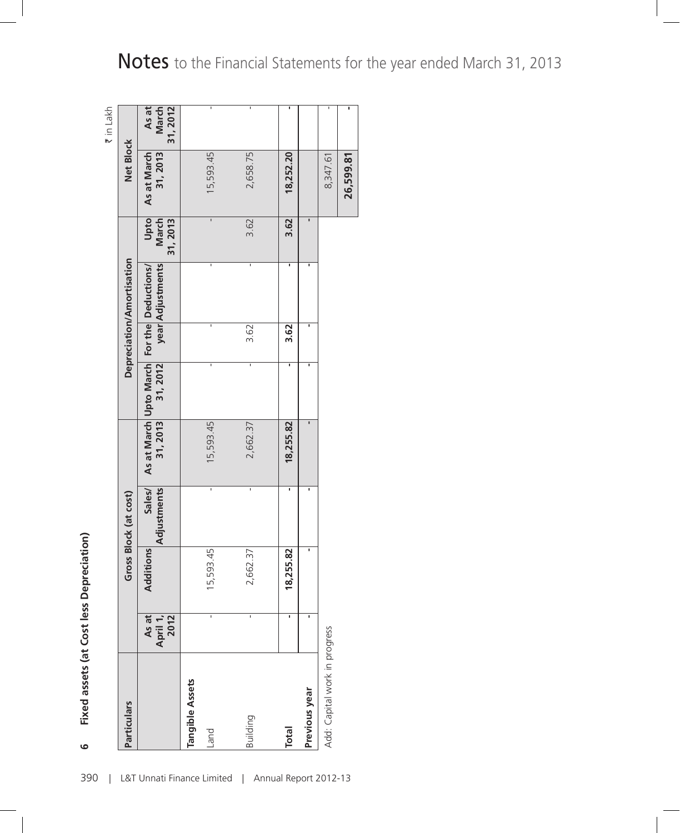| <b>Particulars</b>            |                           |           | Gross Block (at cost) |           |          |      | Depreciation/Amortisation                                      |                          | Net Block               | ₹ in Lakh                  |
|-------------------------------|---------------------------|-----------|-----------------------|-----------|----------|------|----------------------------------------------------------------|--------------------------|-------------------------|----------------------------|
|                               | As at<br>April 1,<br>2012 | Additions | Sales/<br>Adjustments | 31, 2013  | 31, 2012 |      | year Adjustments<br>As at March Upto March For the Deductions/ | Upto<br>March<br>31,2013 | As at March<br>31, 2013 | As at<br>March<br>31, 2012 |
| Tangible Assets<br>Land       |                           | 15,593.45 | ī                     | 15,593.45 | ı        | ı    | ı                                                              | ī                        | 15,593.45               | ı                          |
| Building                      |                           | 2,662.37  | ī                     | 2,662.37  | I,       | 3.62 | I,                                                             | 3.62                     | 2,658.75                | ı                          |
| <b>Total</b>                  | ı                         | 18,255.82 | ı                     | 18,255.82 |          | 3.62 | ı                                                              | 3.62                     | 18,252.20               | ı                          |
| Previous year                 |                           | ı         | ı                     |           |          | ı    | ı                                                              | ı                        |                         |                            |
| Add: Capital work in progress |                           |           |                       |           |          |      |                                                                |                          | 8,347.61                | ı                          |
|                               |                           |           |                       |           |          |      |                                                                |                          | 26,599.81               |                            |

Fixed assets (at Cost less Depreciation) **Fixed assets (at Cost less Depreciation)**

**6**

Notes to the Financial Statements for the year ended March 31, 2013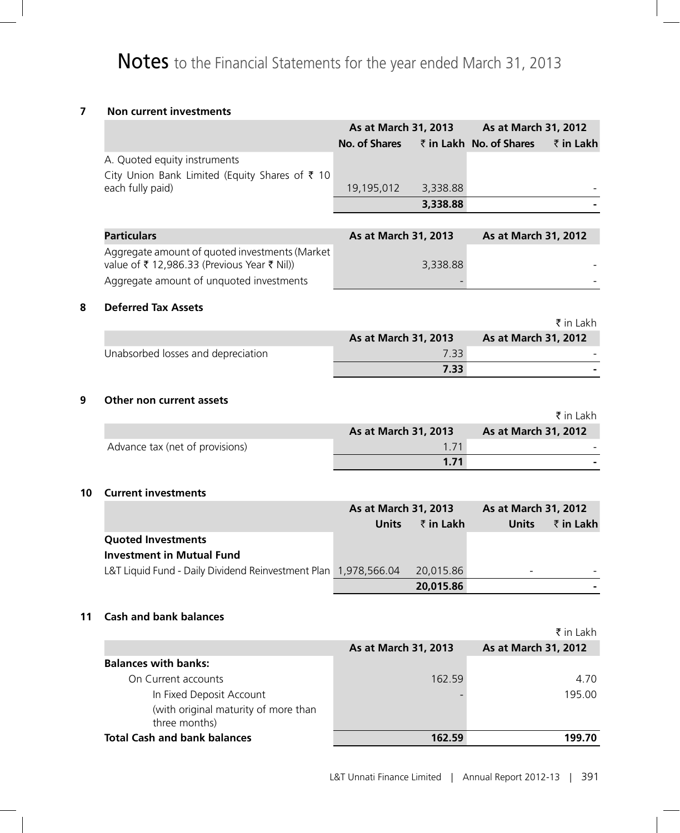# **7 Non current investments**

|                                                                                               | As at March 31, 2013 |          | As at March 31, 2012    |           |
|-----------------------------------------------------------------------------------------------|----------------------|----------|-------------------------|-----------|
|                                                                                               | No. of Shares        |          | ₹ in Lakh No. of Shares | ₹ in Lakh |
| A. Quoted equity instruments                                                                  |                      |          |                         |           |
| City Union Bank Limited (Equity Shares of $\bar{\tau}$ 10                                     |                      |          |                         |           |
| each fully paid)                                                                              | 19,195,012           | 3,338.88 |                         |           |
|                                                                                               |                      | 3,338.88 |                         |           |
|                                                                                               |                      |          |                         |           |
| <b>Particulars</b>                                                                            | As at March 31, 2013 |          | As at March 31, 2012    |           |
| Aggregate amount of quoted investments (Market<br>value of ₹ 12,986.33 (Previous Year ₹ Nil)) |                      | 3,338.88 |                         |           |
| Aggregate amount of unquoted investments                                                      |                      |          |                         |           |

### **8 Deferred Tax Assets**

|                                    |                      | ₹in Lakh                    |
|------------------------------------|----------------------|-----------------------------|
|                                    | As at March 31, 2013 | <b>As at March 31, 2012</b> |
| Unabsorbed losses and depreciation | 7.33                 |                             |
|                                    | 7.33                 |                             |

### **9 Other non current assets**

|                                 |                             | ₹ in Lakh            |
|---------------------------------|-----------------------------|----------------------|
|                                 | <b>As at March 31, 2013</b> | As at March 31, 2012 |
| Advance tax (net of provisions) | 1 7 1                       |                      |
|                                 | 1.71                        |                      |

### **10 Current investments**

|                                                                 | As at March 31, 2013 |           | As at March 31, 2012 |                   |
|-----------------------------------------------------------------|----------------------|-----------|----------------------|-------------------|
|                                                                 | <b>Units</b>         | ₹ in Lakh | <b>Units</b>         | $\bar{z}$ in Lakh |
| <b>Quoted Investments</b>                                       |                      |           |                      |                   |
| <b>Investment in Mutual Fund</b>                                |                      |           |                      |                   |
| L&T Liquid Fund - Daily Dividend Reinvestment Plan 1,978,566.04 |                      | 20,015.86 | -                    |                   |
|                                                                 |                      | 20,015.86 |                      |                   |

# **11 Cash and bank balances**

|                                                       |                      | $\bar{\tau}$ in Lakh |
|-------------------------------------------------------|----------------------|----------------------|
|                                                       | As at March 31, 2013 | As at March 31, 2012 |
| <b>Balances with banks:</b>                           |                      |                      |
| On Current accounts                                   | 162.59               | 4.70                 |
| In Fixed Deposit Account                              |                      | 195.00               |
| (with original maturity of more than<br>three months) |                      |                      |
| <b>Total Cash and bank balances</b>                   | 162.59               | 199.70               |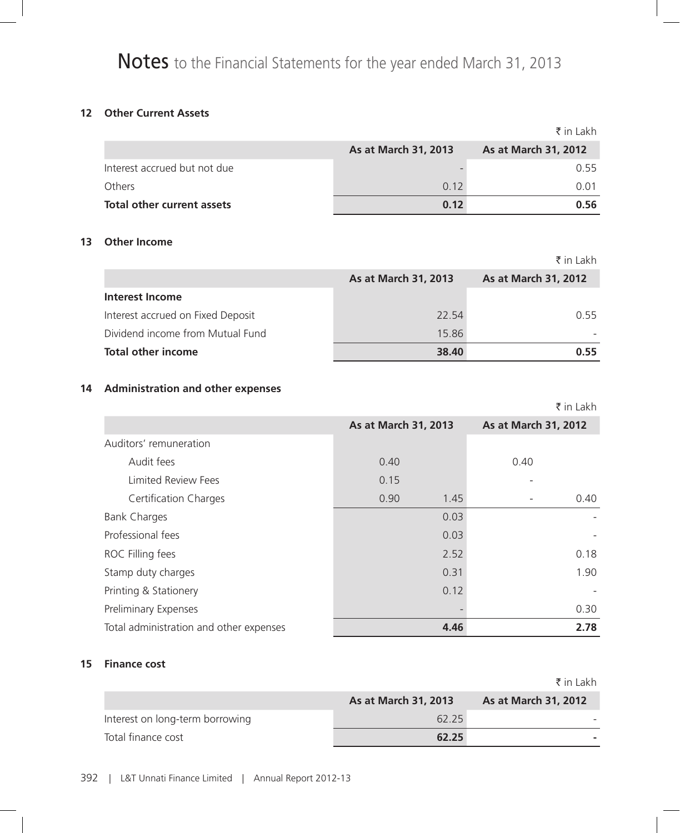# **12 Other Current Assets**

|                              |                      | ₹ in Lakh            |
|------------------------------|----------------------|----------------------|
|                              | As at March 31, 2013 | As at March 31, 2012 |
| Interest accrued but not due |                      | 0.55                 |
| Others                       | 0.12                 | 0.01                 |
| Total other current assets   | 0.12                 | 0.56                 |

# **13 Other Income**

|                                   |                      | ₹ in Lakh            |
|-----------------------------------|----------------------|----------------------|
|                                   | As at March 31, 2013 | As at March 31, 2012 |
| Interest Income                   |                      |                      |
| Interest accrued on Fixed Deposit | 22.54                | 0.55                 |
| Dividend income from Mutual Fund  | 15.86                |                      |
| <b>Total other income</b>         | 38.40                | 0.55                 |

# **14 Administration and other expenses**

|                                         |                      | ₹ in Lakh            |
|-----------------------------------------|----------------------|----------------------|
|                                         | As at March 31, 2013 | As at March 31, 2012 |
| Auditors' remuneration                  |                      |                      |
| Audit fees                              | 0.40                 | 0.40                 |
| <b>Limited Review Fees</b>              | 0.15                 |                      |
| <b>Certification Charges</b>            | 0.90<br>1.45         | 0.40                 |
| <b>Bank Charges</b>                     | 0.03                 |                      |
| Professional fees                       | 0.03                 |                      |
| ROC Filling fees                        | 2.52                 | 0.18                 |
| Stamp duty charges                      | 0.31                 | 1.90                 |
| Printing & Stationery                   | 0.12                 |                      |
| Preliminary Expenses                    |                      | 0.30                 |
| Total administration and other expenses | 4.46                 | 2.78                 |

# **15 Finance cost**

|                                 |                             | ₹ in Lakh            |
|---------------------------------|-----------------------------|----------------------|
|                                 | <b>As at March 31, 2013</b> | As at March 31, 2012 |
| Interest on long-term borrowing | 62.25                       |                      |
| Total finance cost              | 62.25                       |                      |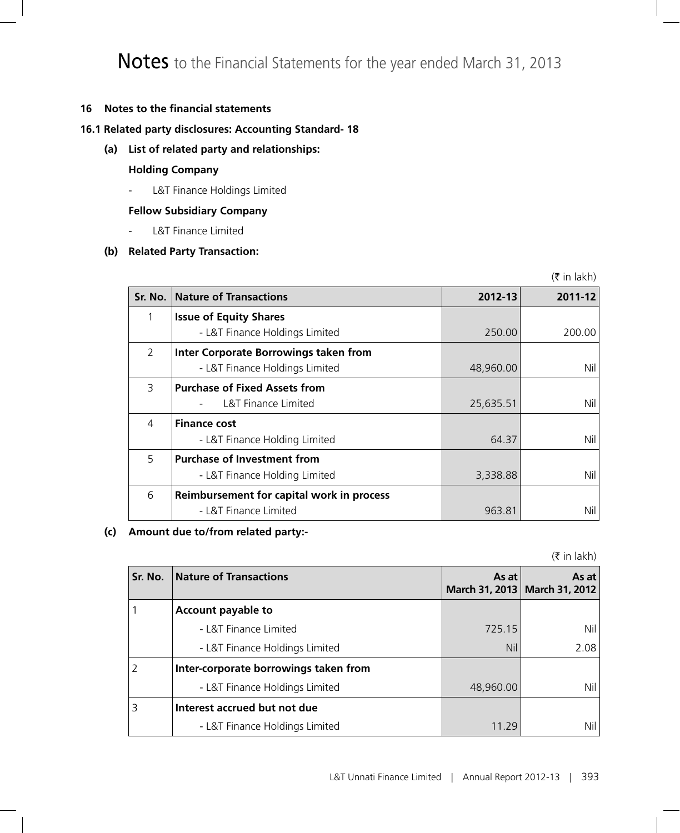# **16 Notes to the financial statements**

# **16.1 Related party disclosures: Accounting Standard- 18**

**(a) List of related party and relationships:**

# **Holding Company**

- L&T Finance Holdings Limited

# **Fellow Subsidiary Company**

- L&T Finance Limited

# **(b) Related Party Transaction:**

 $(5$  in lakh)

| Sr. No.       | <b>Nature of Transactions</b>             | 2012-13   | 2011-12 |
|---------------|-------------------------------------------|-----------|---------|
|               | <b>Issue of Equity Shares</b>             |           |         |
|               | - L&T Finance Holdings Limited            | 250.00    | 200.00  |
| $\mathcal{P}$ | Inter Corporate Borrowings taken from     |           |         |
|               | - L&T Finance Holdings Limited            | 48,960.00 | Nil     |
| 3             | <b>Purchase of Fixed Assets from</b>      |           |         |
|               | L&T Finance Limited                       | 25,635.51 | Nil     |
| 4             | <b>Finance cost</b>                       |           |         |
|               | - L&T Finance Holding Limited             | 64.37     | Nil     |
| 5             | <b>Purchase of Investment from</b>        |           |         |
|               | - L&T Finance Holding Limited             | 3,338.88  | Nil     |
| 6             | Reimbursement for capital work in process |           |         |
|               | - L&T Finance Limited                     | 963.81    | Nil     |

# **(c) Amount due to/from related party:-**

 $($ ₹ in lakh)

| Sr. No. | Nature of Transactions                | As at     | As at<br>March 31, 2013   March 31, 2012 |
|---------|---------------------------------------|-----------|------------------------------------------|
|         | Account payable to                    |           |                                          |
|         | - L&T Finance Limited                 | 725.15    | Nil                                      |
|         | - L&T Finance Holdings Limited        | Nil       | 2.08                                     |
|         | Inter-corporate borrowings taken from |           |                                          |
|         | - L&T Finance Holdings Limited        | 48,960.00 | Nil                                      |
|         | Interest accrued but not due          |           |                                          |
|         | - L&T Finance Holdings Limited        | 11 29     | Nil                                      |